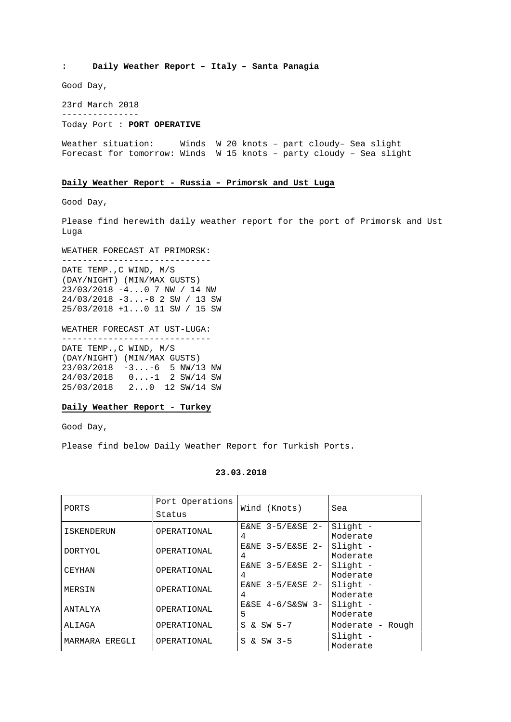**: Daily Weather Report – Italy – Santa Panagia**

Good Day,

23rd March 2018 --------------- Today Port : **PORT OPERATIVE**

Weather situation: Winds W 20 knots – part cloudy– Sea slight Forecast for tomorrow: Winds W 15 knots – party cloudy – Sea slight

#### **Daily Weather Report - Russia – Primorsk and Ust Luga**

Good Day,

Please find herewith daily weather report for the port of Primorsk and Ust Luga

WEATHER FORECAST AT PRIMORSK:

----------------------------- DATE TEMP.,C WIND, M/S (DAY/NIGHT) (MIN/MAX GUSTS) 23/03/2018 -4...0 7 NW / 14 NW 24/03/2018 -3...-8 2 SW / 13 SW 25/03/2018 +1...0 11 SW / 15 SW

WEATHER FORECAST AT UST-LUGA: -----------------------------

DATE TEMP.,C WIND, M/S (DAY/NIGHT) (MIN/MAX GUSTS) 23/03/2018 -3...-6 5 NW/13 NW 24/03/2018 0...-1 2 SW/14 SW 25/03/2018 2...0 12 SW/14 SW

# **Daily Weather Report - Turkey**

Good Day,

Please find below Daily Weather Report for Turkish Ports.

| PORTS          | Port Operations<br>Status | Wind (Knots)            | Sea                    |
|----------------|---------------------------|-------------------------|------------------------|
| ISKENDERUN     | OPERATIONAL               | E&NE $3-5/E&SE$ 2-      | $Slight -$<br>Moderate |
| DORTYOL        | OPERATIONAL               | E&NE $3-5/E&SE$ 2-<br>4 | Slight -<br>Moderate   |
| CEYHAN         | OPERATIONAL               | E&NE $3-5/E&SE$ 2-<br>4 | Slight -<br>Moderate   |
| MERSIN         | OPERATIONAL               | E&NE $3-5/E&SE$ 2-<br>4 | $Slight -$<br>Moderate |
| ANTALYA        | OPERATIONAL               | $E&SE$ 4-6/S&SW 3-<br>5 | $Slight -$<br>Moderate |
| ALIAGA         | OPERATIONAL               | S & SW 5-7              | Moderate - Rough       |
| MARMARA EREGLI | OPERATIONAL               | S & SW 3-5              | $Slight -$<br>Moderate |

#### **23.03.2018**